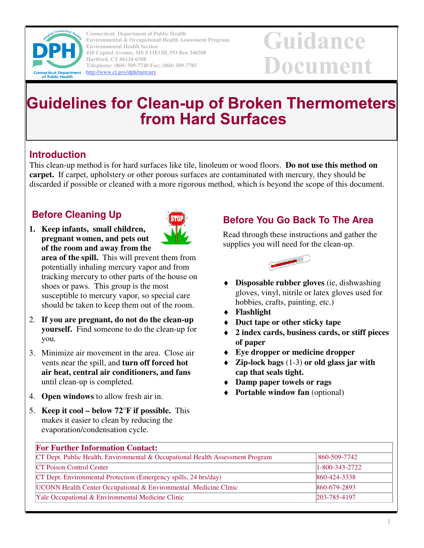

**Connecticut Department of Public Health Environmental & Occupational Health Assessment Program Environmental Health Section 410 Capitol Avenue, MS # 11EOH, PO Box 340308 Hartford, CT 06134-0308 Telephone: (860) 509-7740 Fax: (860) 509-7785**  http://www.ct.gov/dph/mercury

# Guidance Document

# **Guidelines for Clean-up of Broken Thermometers from Hard Surfaces**

#### **Introduction**

This clean-up method is for hard surfaces like tile, linoleum or wood floors. **Do not use this method on carpet.**If carpet, upholstery or other porous surfaces are contaminated with mercury*,* they should be discarded if possible or cleaned with a more rigorous method, which is beyond the scope of this document.

## **Before Cleaning Up**

**1. Keep infants, small children, pregnant women, and pets out of the room and away from the** 

**area of the spill.** This will prevent them from potentially inhaling mercury vapor and from tracking mercury to other parts of the house on shoes or paws. This group is the most susceptible to mercury vapor, so special care should be taken to keep them out of the room.

- 2. **If you are pregnant, do not do the clean-up yourself.** Find someone to do the clean-up for you.
- 3. Minimize air movement in the area. Close air vents near the spill, and **turn off forced hot air heat, central air conditioners, and fans** until clean-up is completed.
- 4. **Open windows** to allow fresh air in.
- 5. **Keep it cool below 72°F if possible.** This makes it easier to clean by reducing the evaporation/condensation cycle.

### **Before You Go Back To The Area**

Read through these instructions and gather the supplies you will need for the clean-up.



- **Disposable rubber gloves** (ie, dishwashing gloves, vinyl, nitrile or latex gloves used for hobbies, crafts, painting, etc.)
- ♦ **Flashlight**
- ♦ **Duct tape or other sticky tape**
- ♦ **2 index cards, business cards, or stiff pieces of paper**
- **Eye dropper or medicine dropper**
- ♦ **Zip-lock bags** (1-3) **or old glass jar with cap that seals tight.**
- ♦ **Damp paper towels or rags**
- **Portable window fan** (optional)

| <b>For Further Information Contact:</b>                                        |                  |
|--------------------------------------------------------------------------------|------------------|
| CT Dept. Public Health, Environmental & Occupational Health Assessment Program | 860-509-7742     |
| <b>CT</b> Poison Control Center                                                | $1-800-343-2722$ |
| CT Dept. Environmental Protection (Emergency spills, 24 hrs/day)               | 860-424-3338     |
| <b>UCONN</b> Health Center Occupational & Environmental Medicine Clinic        | 860-679-2893     |
| Yale Occupational & Environmental Medicine Clinic                              | 203-785-4197     |